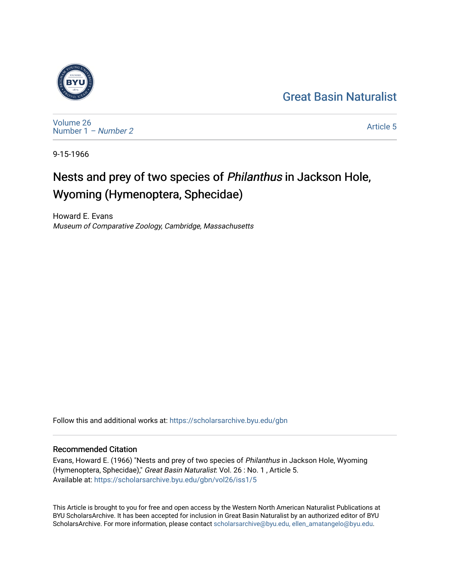## [Great Basin Naturalist](https://scholarsarchive.byu.edu/gbn)



[Volume 26](https://scholarsarchive.byu.edu/gbn/vol26) [Number 1](https://scholarsarchive.byu.edu/gbn/vol26/iss1) – Number 2

[Article 5](https://scholarsarchive.byu.edu/gbn/vol26/iss1/5) 

9-15-1966

# Nests and prey of two species of Philanthus in Jackson Hole, Wyoming (Hymenoptera, Sphecidae)

Howard E. Evans Museum of Comparative Zoology, Cambridge, Massachusetts

Follow this and additional works at: [https://scholarsarchive.byu.edu/gbn](https://scholarsarchive.byu.edu/gbn?utm_source=scholarsarchive.byu.edu%2Fgbn%2Fvol26%2Fiss1%2F5&utm_medium=PDF&utm_campaign=PDFCoverPages) 

## Recommended Citation

Evans, Howard E. (1966) "Nests and prey of two species of Philanthus in Jackson Hole, Wyoming (Hymenoptera, Sphecidae)," Great Basin Naturalist: Vol. 26 : No. 1 , Article 5. Available at: [https://scholarsarchive.byu.edu/gbn/vol26/iss1/5](https://scholarsarchive.byu.edu/gbn/vol26/iss1/5?utm_source=scholarsarchive.byu.edu%2Fgbn%2Fvol26%2Fiss1%2F5&utm_medium=PDF&utm_campaign=PDFCoverPages)

This Article is brought to you for free and open access by the Western North American Naturalist Publications at BYU ScholarsArchive. It has been accepted for inclusion in Great Basin Naturalist by an authorized editor of BYU ScholarsArchive. For more information, please contact [scholarsarchive@byu.edu, ellen\\_amatangelo@byu.edu.](mailto:scholarsarchive@byu.edu,%20ellen_amatangelo@byu.edu)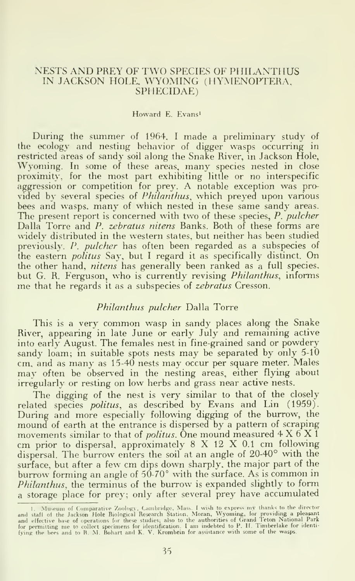#### NESTS AND PREY OF TWO SPECIES OF PHILANTHUS IN JACKSON HOLE, WYOMING (HYMENOPTERA, SPIIECIDAE)

#### Howard E. Evans'

During the summer of 1964. <sup>I</sup> made <sup>a</sup> preliminary study of the ecology and nesting behavior of digger wasps occurring in restricted areas of sandy soil along the Snake River, in Jackson Hole, Wyoming. In some of these areas, many species nested in close proximity, for the most part exhibiting little or no interspecific aggression or competition for prey. A notable exception was provided by several species of Philanthus, which preyed upon various bees and wasps, many of which nested in these same sandy areas. The present report is concerned with two of these species,  $P$ , pulcher Dalla Torre and P. zebratus nitens Banks. Both of these forms are widely distributed in the western states, but neither has been studied previously. P. pulcher has often been regarded as a subspecies of the eastern *politus* Say, but I regard it as specifically distinct. On the other hand, nitens has generally been ranked as a full species, but G. R. Ferguson, who is currently revising Philanthus, informs me that he regards it as <sup>a</sup> subspecies of zebratus Cresson.

#### Philanthus pulcher Dalla Torre

This is <sup>a</sup> very common wasp in sandy places along the Snake River, appearing in late June or early July and remaining active into early August. The females nest in fine-grained sand or powdery sandy loam; in suitable spots nests may be separated by only  $5-10$ cm. and as many as 15-40 nests may occur per square meter. Males mav often be observed in the nesting areas, either flying about irregularly or resting on low herbs and grass near active nests.

The digging of the nest is very similar to that of the closely related species politus, as described by Evans and Lin (1959). During and more especially following digging of the burrow, the mound of earth at the entrance is dispersed by <sup>a</sup> pattern of scraping movements similar to that of *politus*. One mound measured  $4 \times 6 \times 1$ cm prior to dispersal, approximately <sup>8</sup> X <sup>12</sup> X 0.1 cm following dispersal. The burrow enters the soil at an angle of 20-40° with the surface, but after <sup>a</sup> few cm dips down sharply, the major part of the burrow forming an angle of  $50-70^\circ$  with the surface. As is common in Philanthus, the terminus of the burrow is expanded slightly to form a storage place for prey; only after several prey have accumulated

<sup>1.</sup> Museum of Comparative Zoology, Cambridge, Mass. I wish to express my thanks to the director<br>and staff of the Jackson Hole Biological Research Station, Moran, Wyoming, for providing a pleasant<br>and effective base of opera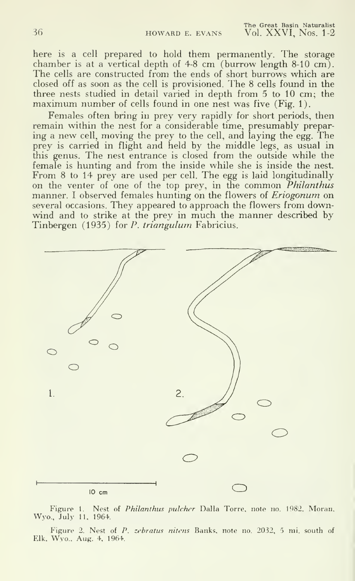The Great Basin Naturalist Vol. XXVI. Nos. 1-2

here is a cell prepared to hold them permanently. The storage chamber is at a vertical depth of 4-8 cm (burrow length 8-10 cm). The cells are constructed from the ends of short burrows which are closed off as soon as the cell is provisioned. The 8 cells found in the three nests studied in detail varied in depth from 5 to 10 cm; the maximum number of cells found in one nest was five (Fig. 1).

Females often bring in prey very rapidly for short periods, then remain within the nest for a considerable time, presumably preparing <sup>a</sup> new cell, moving the prey to the cell, and laying the egg. The prey is carried in flight and held by the middle legs, as usual in this genus. The nest entrance is closed from the outside while the female is hunting and from the inside while she is inside the nest. From 8 to 14 prey are used per cell. The egg is laid longitudinally on the venter of one of the top prey, in the common *Philanthus* manner. I observed females hunting on the flowers of *Eriogonum* on **cannot** several occasions. They appeared to approach the flowers from downwind and to strike at the prey in much the manner described by Tinbergen (1935) for P. triangulum Fabricius.



Figure 1. Nest of Philanthus pulcher Dalla Torre, note no. 1982. Moran. Wyo., July 11. 1964.

Figure 2. Nest of P. zebratus nitens Banks, note no. 2032, 5 mi. south of Elk, Wyo.. Aug. 4, 1964.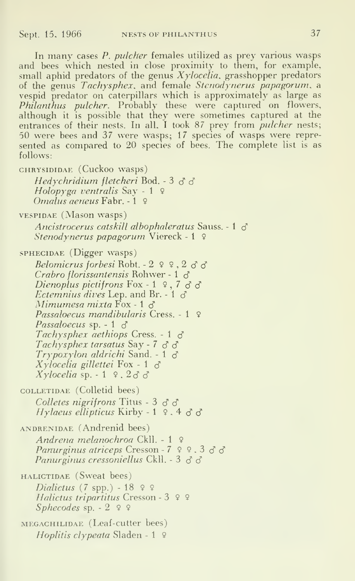In many cases P. *pulcher* females utilized as prey various wasps and bees which nested in close proximity to them, for example, small aphid predators of the genus  $Xy$ locelia, grasshopper predators of the genus *Tachysphex*, and female Stenodynerus papagorum, a vespid predator on caterpillars which is approximately as large as *Philanthus pulcher*. Probably these were captured on flowers, although it is possible that they were sometimes captured at the entrances of their nests. In all. I took 87 prey from *pulcher* nests; 50 were bees and 37 were wasps; 17 species of wasps were repre sented as compared to 20 species of bees. The complete list is as follows:

CHRYSIDIDAE (Cuckoo wasps) Hedychridium fletcheri Bod. - 3  $\delta$   $\delta$ Holopyga ventralis Say - 1  $\circ$  $O$ *malus geneus* Fabr. - 1. 9 VESPIDAE (Mason wasps) Ancistrocerus catskill albophaleratus Sauss. - 1  $\sigma$ Stenodynerus papagorum Viereck - <sup>1</sup> <sup>9</sup> SPHECIDAE (Digger wasps) Belomicrus forbesi Robt. -  $2 \times 2 \times 3$ Crabro florissantensis Rohwer - 1  $\delta$ Dienoplus pictifrons Fox - 1  $9, 7, 3, 8$ *Ectemnius dives* Lep. and Br. - 1  $\sigma$ Mimumesa mixta  $\text{Fox - 1 } \delta$ Passaloecus mandibularis Cress. - 1 9 Passaloecus sp. - 1  $\delta$ Tachysphex aethiops Cress. - 1  $\delta$ Tachysphex tarsatus Say -  $7 \text{ d } d$  $Trypoxylon$  aldrichi Sand. - 1  $\delta$  $Xy$ locelia gillettei Fox - 1  $\delta$ Xylocelia sp.  $-1$  9.233 coLLETiDAE (Colletid bees) Colletes nigrifrons Titus -  $3 \, \delta \, \delta$ Hylaeus ellipticus Kirby - 1  $9.4$  d' d' ANDRENiDAE (Andrenid bees) Andrena melanochroa Ckll. - <sup>1</sup> <sup>9</sup> Panurginus atriceps Cresson -  $7$   $9$   $9$ ,  $3$   $3$   $3$ Panurginus cressoniellus Ckll. - 3  $\sigma$   $\sigma$ 

HALiCTiDAE (Sweat bees) Dialictus (7 spp.) - 18  $99$ Halictus tripartitus Cresson - 3 º 9 Sphecodes sp.  $-2$  9 9

MEGACHILIDAE (Leaf-cutter bees) *Hoplitis clypeata* Sladen - 1  $\varphi$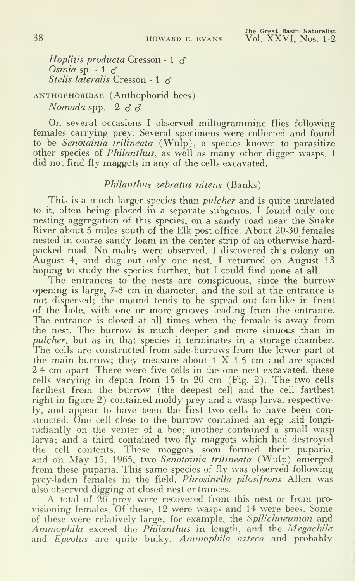Hoplitis producta Cresson - 1  $\sigma$ Osmia sp.  $-1 \leq$ Stelis lateralis Cresson - 1  $\sigma$ 

### ANTHOPHORiDAE ( Anthophorid bees) Nomada spp.  $-2 \leq \leq \leq$

On several occasions <sup>I</sup> observed miltogrammine flies following females carrying prey. Several specimens were collected and found to be Senotainia trilineata (Wulp), a species known to parasitize other species of Philanthus, as well as many other digger wasps. <sup>I</sup> did not find fly maggots in any of the cells excavated.

#### Philanthus zebratus nitens (Banks)

This is a much larger species than *pulcher* and is quite unrelated to it, often being placed in a separate subgenus. <sup>I</sup> found only one nesting aggregation of this species, on a sandy road near the Snake River about 5 miles south of the Elk post office. About 20-30 females nested in coarse sandy loam in the center strip of an otherwise hardpacked road. No males were observed. <sup>I</sup> discovered this colony on August 4, and dug out only one nest. <sup>I</sup> returned on August 13 hoping to study the species further, but I could find none at all.

The entrances to the nests are conspicuous, since the burrow opening is large, 7-8 cm in diameter, and the soil at the entrance is not dispersed; the mound tends to be spread out fan-like in front of the hole, with one or more grooves leading from the entrance. The entrance is closed at all times when the female is away from the nest. The burrow is much deeper and more sinuous than in pulcher, but as in that species it terminates in a storage chamber. The cells are constructed from side-burrows from the lower part of the main burrow; they measure about  $1 \times 1.5$  cm and are spaced 2-4 cm apart. There were five cells in the one nest excavated, these cells varying in depth from 15 to 20 cm (Fig. 2). The two cells farthest from the burrow (the deepest cell and the cell farthest right in figure 2) contained moldy prey and a wasp larva, respectively, and appear to have been the first two cells to have been constructed. One cell close to the burrow contained an egg laid longitudianlly on the venter of <sup>a</sup> bee; another contained <sup>a</sup> small wasp larva; and a third contained two fly maggots which had destroyed the cell contents. These maggots soon formed their puparia, and on May 15, 1965, two Senotainia trilineata (Wulp) emerged from these puparia. This same species of fly was observed following prey-laden females in the field. *Phrosinella pilosifrons* Allen was also observed digging at closed nest entrances.

A total of 26 prey were recovered from this nest or from provisioning females. Of these, 12 were wasps and 14 were bees. Some of these were relatively large; for example, the Spilichneumon and Ammophila exceed the Philanthus in length, and the Megachile and *Epeolus* are quite bulky. Ammophila azteca and probably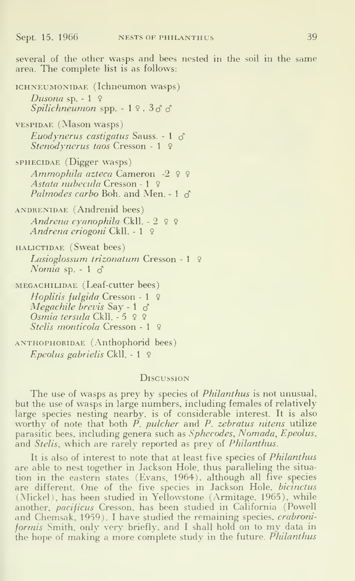several of the other wasps and bees nested in the soil in the same area. The complete list is as follows:

ICHNEUMONIDAE (Ichneumon wasps) Dusona sp.  $-1$  9 Spilichneumon spp.  $-1$   $9$ ,  $3$  $3$  $3$  $v$ ESPIDAE (Mason wasps)

Euodynerus castigatus Sauss. - 1  $\sigma$ Stenodynerus taos Cresson - <sup>1</sup> 9

SPHECIDAE (Digger wasps) Ammophila azteca Cameron -2 <sup>9</sup> <sup>9</sup> Astata nubecula Cresson - <sup>1</sup> 9 Palmodes carbo Boh. and Men. - 1  $\sigma$ 

ANDRENIDAE (Andrenid bees) Andrena cyanophila Ckll. - 2 9 9 Andrena eriogoni Ckll. - <sup>1</sup> 9

HALICTIDAE (Sweat bees) Lasioglossum trizonatum Cresson - 1 º Nomia sp. - 1  $\sigma$ 

MEGACHILIDAE (Leaf-cutter bees) Hoplitis fulgida Cresson - 1 º Megachile brevis Say - 1  $\sigma$ Osmia tersula Ckll. - 5 9 9 Stelis monticola Cresson - 1 9

ANTHOPHORIDAE (Anthophorid bees) Epeolus gabrielis Ckll. - <sup>1</sup> 9

#### **Discussion**

The use of wasps as prey by species of *Philanthus* is not unusual, but the use of wasps in large numbers, including females of relatively large species nesting nearby, is of considerable interest. It is also worthy of note that both  $\overrightarrow{P}$ , pulcher and  $\overrightarrow{P}$ , zebratus nitens utilize parasitic bees, including genera such as Sphecodes, Nomada, Epeolus, and Stelis, which are rarely reported as prey of Philanthus.

It is also of interest to note that at least five species of *Philanthus* are able to nest together in Jackson Hole, thus paralleling the situa tion in the eastern states (Evans, 1964). although all five species are different. One of the five species in Jackson Hole, bicinctus (Mickel), has been studied in Yellowstone (Armitage. 1965), while another, pacificus Cresson, has been studied in California (Powell and Chemsak, 1959). <sup>I</sup> have studied the remaining species, crabroniformis Smith, only very briefly, and I shall hold on to my data in the hope of making a more complete study in the future. Philanthus